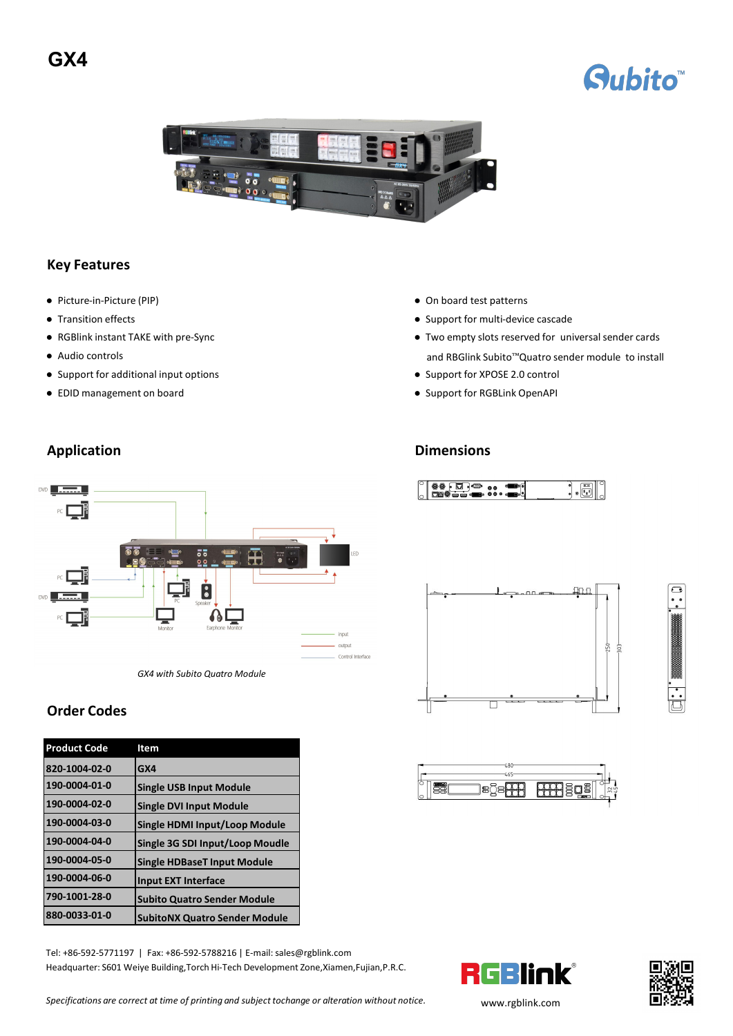# **GX4**





### **Key Features**

- 
- 
- 
- 
- Support for additional input options Support for XPOSE 2.0 control
- 
- Picture-in-Picture (PIP) On board test patterns
- Transition effects <br>● Support for multi-device cascade
- RGBlink instant TAKE with pre-Sync empty slots reserved for universal sender cards ● Audio controls and RBGlink Subito™Quatro sender module to install

 $\cdot \textcolor{red}{\bullet}$ 

 $\Box$ 

250

- 
- EDID management on board 
Support for RGBLink OpenAPI
Support for RGBLink OpenAPI
Support for RGBLink OpenAPI

 $00.70$ 

## **Application Dimensions**



*GX4 with Subito Quatro Module*

### **Order Codes**

| <b>Product Code</b> | Item                                 |                                           |
|---------------------|--------------------------------------|-------------------------------------------|
| 820-1004-02-0       | IGX4                                 | $-480$<br>$-465-$                         |
| 190-0004-01-0       | <b>Single USB Input Module</b>       | 83<br><b>BBB</b> sos<br>egs <del>98</del> |
| 190-0004-02-0       | <b>Single DVI Input Module</b>       |                                           |
| 190-0004-03-0       | Single HDMI Input/Loop Module        |                                           |
| 190-0004-04-0       | Single 3G SDI Input/Loop Moudle      |                                           |
| 190-0004-05-0       | <b>Single HDBaseT Input Module</b>   |                                           |
| 190-0004-06-0       | Input EXT Interface                  |                                           |
| 790-1001-28-0       | <b>Subito Quatro Sender Module</b>   |                                           |
| 880-0033-01-0       | <b>SubitoNX Quatro Sender Module</b> |                                           |

Tel: +86-592-5771197 | Fax: +86-592-5788216 | E-mail:sales@rgblink.com Headquarter: S601 Weiye Building,Torch Hi-Tech Development Zone,Xiamen,Fujian,P.R.C.





 $\sqrt{ }$ 

*Specifications are correct at time of printing and subject tochange or alteration without notice.* www.rgblink.com